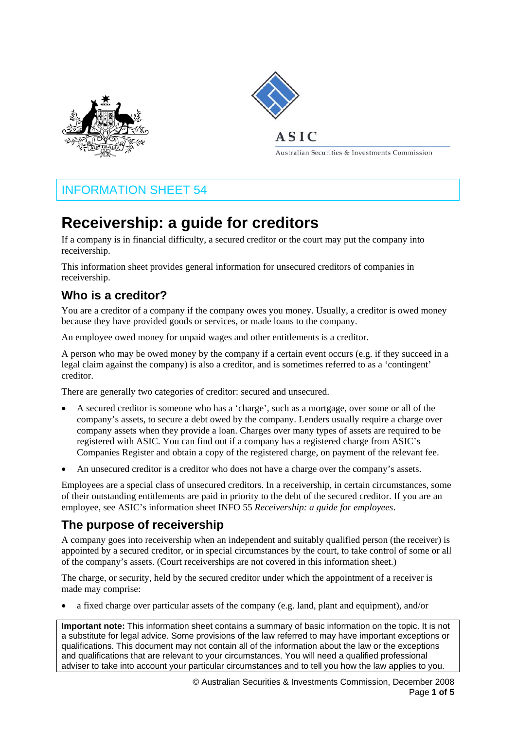



# $ASIC$

Australian Securities & Investments Commission

# INFORMATION SHEET 54

# **Receivership: a guide for creditors**

If a company is in financial difficulty, a secured creditor or the court may put the company into receivership.

This information sheet provides general information for unsecured creditors of companies in receivership.

# **Who is a creditor?**

You are a creditor of a company if the company owes you money. Usually, a creditor is owed money because they have provided goods or services, or made loans to the company.

An employee owed money for unpaid wages and other entitlements is a creditor.

A person who may be owed money by the company if a certain event occurs (e.g. if they succeed in a legal claim against the company) is also a creditor, and is sometimes referred to as a 'contingent' creditor.

There are generally two categories of creditor: secured and unsecured.

- A secured creditor is someone who has a 'charge', such as a mortgage, over some or all of the company's assets, to secure a debt owed by the company. Lenders usually require a charge over company assets when they provide a loan. Charges over many types of assets are required to be registered with ASIC. You can find out if a company has a registered charge from ASIC's Companies Register and obtain a copy of the registered charge, on payment of the relevant fee.
- An unsecured creditor is a creditor who does not have a charge over the company's assets.

Employees are a special class of unsecured creditors. In a receivership, in certain circumstances, some of their outstanding entitlements are paid in priority to the debt of the secured creditor. If you are an employee, see ASIC's information sheet INFO 55 *Receivership: a guide for employees*.

# **The purpose of receivership**

A company goes into receivership when an independent and suitably qualified person (the receiver) is appointed by a secured creditor, or in special circumstances by the court, to take control of some or all of the company's assets. (Court receiverships are not covered in this information sheet.)

The charge, or security, held by the secured creditor under which the appointment of a receiver is made may comprise:

• a fixed charge over particular assets of the company (e.g. land, plant and equipment), and/or

**Important note:** This information sheet contains a summary of basic information on the topic. It is not a substitute for legal advice. Some provisions of the law referred to may have important exceptions or qualifications. This document may not contain all of the information about the law or the exceptions and qualifications that are relevant to your circumstances. You will need a qualified professional adviser to take into account your particular circumstances and to tell you how the law applies to you.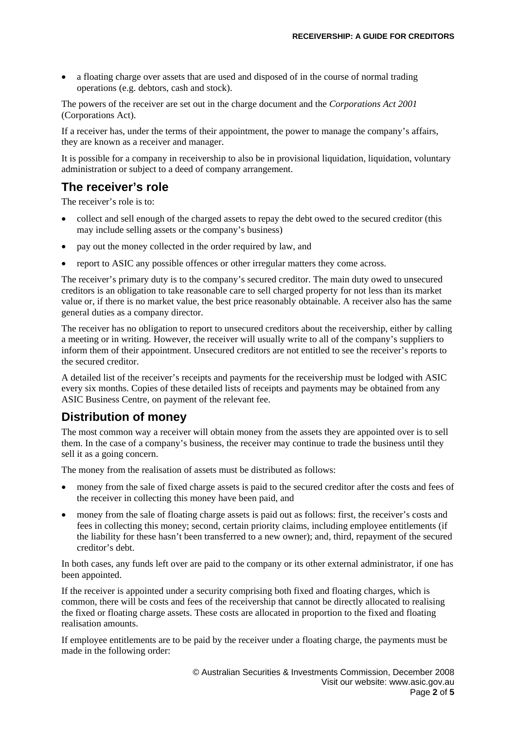• a floating charge over assets that are used and disposed of in the course of normal trading operations (e.g. debtors, cash and stock).

The powers of the receiver are set out in the charge document and the *Corporations Act 2001*  (Corporations Act).

If a receiver has, under the terms of their appointment, the power to manage the company's affairs, they are known as a receiver and manager.

It is possible for a company in receivership to also be in provisional liquidation, liquidation, voluntary administration or subject to a deed of company arrangement.

## **The receiver's role**

The receiver's role is to:

- collect and sell enough of the charged assets to repay the debt owed to the secured creditor (this may include selling assets or the company's business)
- pay out the money collected in the order required by law, and
- report to ASIC any possible offences or other irregular matters they come across.

The receiver's primary duty is to the company's secured creditor. The main duty owed to unsecured creditors is an obligation to take reasonable care to sell charged property for not less than its market value or, if there is no market value, the best price reasonably obtainable. A receiver also has the same general duties as a company director.

The receiver has no obligation to report to unsecured creditors about the receivership, either by calling a meeting or in writing. However, the receiver will usually write to all of the company's suppliers to inform them of their appointment. Unsecured creditors are not entitled to see the receiver's reports to the secured creditor.

A detailed list of the receiver's receipts and payments for the receivership must be lodged with ASIC every six months. Copies of these detailed lists of receipts and payments may be obtained from any ASIC Business Centre, on payment of the relevant fee.

## **Distribution of money**

The most common way a receiver will obtain money from the assets they are appointed over is to sell them. In the case of a company's business, the receiver may continue to trade the business until they sell it as a going concern.

The money from the realisation of assets must be distributed as follows:

- money from the sale of fixed charge assets is paid to the secured creditor after the costs and fees of the receiver in collecting this money have been paid, and
- money from the sale of floating charge assets is paid out as follows: first, the receiver's costs and fees in collecting this money; second, certain priority claims, including employee entitlements (if the liability for these hasn't been transferred to a new owner); and, third, repayment of the secured creditor's debt.

In both cases, any funds left over are paid to the company or its other external administrator, if one has been appointed.

If the receiver is appointed under a security comprising both fixed and floating charges, which is common, there will be costs and fees of the receivership that cannot be directly allocated to realising the fixed or floating charge assets. These costs are allocated in proportion to the fixed and floating realisation amounts.

If employee entitlements are to be paid by the receiver under a floating charge, the payments must be made in the following order: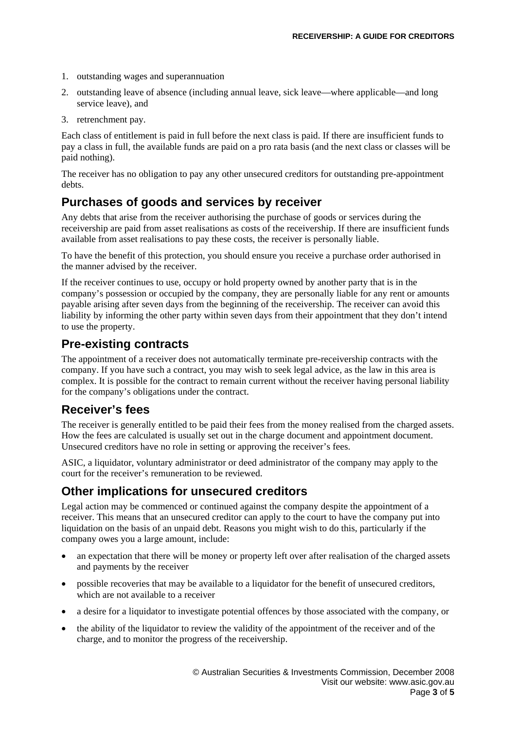- 1. outstanding wages and superannuation
- 2. outstanding leave of absence (including annual leave, sick leave—where applicable—and long service leave), and
- 3. retrenchment pay.

Each class of entitlement is paid in full before the next class is paid. If there are insufficient funds to pay a class in full, the available funds are paid on a pro rata basis (and the next class or classes will be paid nothing).

The receiver has no obligation to pay any other unsecured creditors for outstanding pre-appointment debts.

#### **Purchases of goods and services by receiver**

Any debts that arise from the receiver authorising the purchase of goods or services during the receivership are paid from asset realisations as costs of the receivership. If there are insufficient funds available from asset realisations to pay these costs, the receiver is personally liable.

To have the benefit of this protection, you should ensure you receive a purchase order authorised in the manner advised by the receiver.

If the receiver continues to use, occupy or hold property owned by another party that is in the company's possession or occupied by the company, they are personally liable for any rent or amounts payable arising after seven days from the beginning of the receivership. The receiver can avoid this liability by informing the other party within seven days from their appointment that they don't intend to use the property.

#### **Pre-existing contracts**

The appointment of a receiver does not automatically terminate pre-receivership contracts with the company. If you have such a contract, you may wish to seek legal advice, as the law in this area is complex. It is possible for the contract to remain current without the receiver having personal liability for the company's obligations under the contract.

#### **Receiver's fees**

The receiver is generally entitled to be paid their fees from the money realised from the charged assets. How the fees are calculated is usually set out in the charge document and appointment document. Unsecured creditors have no role in setting or approving the receiver's fees.

ASIC, a liquidator, voluntary administrator or deed administrator of the company may apply to the court for the receiver's remuneration to be reviewed.

## **Other implications for unsecured creditors**

Legal action may be commenced or continued against the company despite the appointment of a receiver. This means that an unsecured creditor can apply to the court to have the company put into liquidation on the basis of an unpaid debt. Reasons you might wish to do this, particularly if the company owes you a large amount, include:

- an expectation that there will be money or property left over after realisation of the charged assets and payments by the receiver
- possible recoveries that may be available to a liquidator for the benefit of unsecured creditors, which are not available to a receiver
- a desire for a liquidator to investigate potential offences by those associated with the company, or
- the ability of the liquidator to review the validity of the appointment of the receiver and of the charge, and to monitor the progress of the receivership.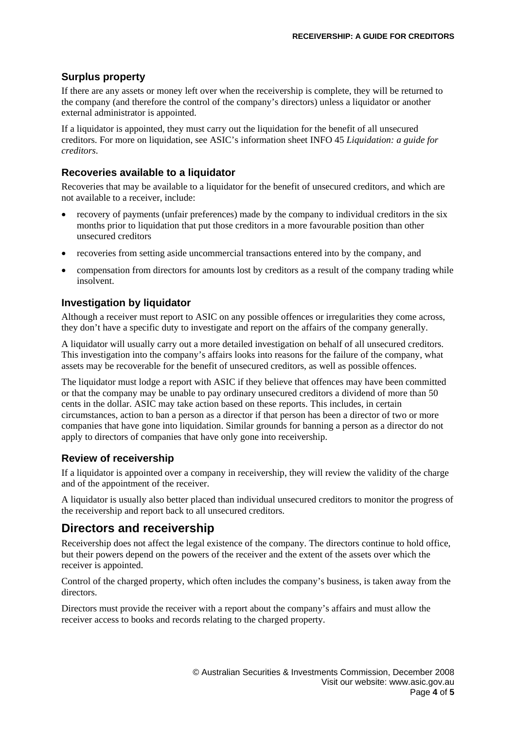#### **Surplus property**

If there are any assets or money left over when the receivership is complete, they will be returned to the company (and therefore the control of the company's directors) unless a liquidator or another external administrator is appointed.

If a liquidator is appointed, they must carry out the liquidation for the benefit of all unsecured creditors. For more on liquidation, see ASIC's information sheet INFO 45 *Liquidation: a guide for creditors*.

#### **Recoveries available to a liquidator**

Recoveries that may be available to a liquidator for the benefit of unsecured creditors, and which are not available to a receiver, include:

- recovery of payments (unfair preferences) made by the company to individual creditors in the six months prior to liquidation that put those creditors in a more favourable position than other unsecured creditors
- recoveries from setting aside uncommercial transactions entered into by the company, and
- compensation from directors for amounts lost by creditors as a result of the company trading while insolvent.

#### **Investigation by liquidator**

Although a receiver must report to ASIC on any possible offences or irregularities they come across, they don't have a specific duty to investigate and report on the affairs of the company generally.

A liquidator will usually carry out a more detailed investigation on behalf of all unsecured creditors. This investigation into the company's affairs looks into reasons for the failure of the company, what assets may be recoverable for the benefit of unsecured creditors, as well as possible offences.

The liquidator must lodge a report with ASIC if they believe that offences may have been committed or that the company may be unable to pay ordinary unsecured creditors a dividend of more than 50 cents in the dollar. ASIC may take action based on these reports. This includes, in certain circumstances, action to ban a person as a director if that person has been a director of two or more companies that have gone into liquidation. Similar grounds for banning a person as a director do not apply to directors of companies that have only gone into receivership.

#### **Review of receivership**

If a liquidator is appointed over a company in receivership, they will review the validity of the charge and of the appointment of the receiver.

A liquidator is usually also better placed than individual unsecured creditors to monitor the progress of the receivership and report back to all unsecured creditors.

#### **Directors and receivership**

Receivership does not affect the legal existence of the company. The directors continue to hold office, but their powers depend on the powers of the receiver and the extent of the assets over which the receiver is appointed.

Control of the charged property, which often includes the company's business, is taken away from the directors.

Directors must provide the receiver with a report about the company's affairs and must allow the receiver access to books and records relating to the charged property.